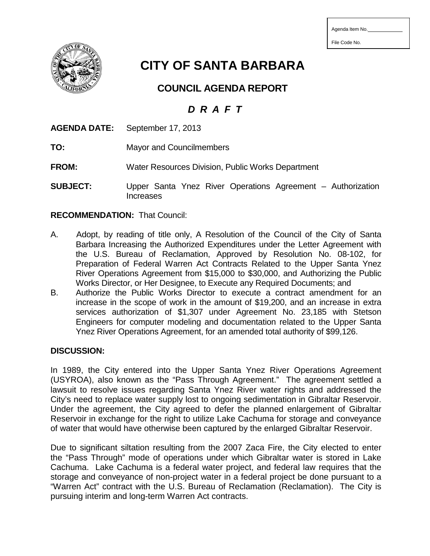File Code No.

**CITY OF SANTA BARBARA**

**COUNCIL AGENDA REPORT**

## *D R A F T*

|              | <b>AGENDA DATE:</b> September 17, 2013            |
|--------------|---------------------------------------------------|
| TO:          | <b>Mayor and Councilmembers</b>                   |
| <b>FROM:</b> | Water Resources Division, Public Works Department |
| SUR.IFCT.    | Unner Santa Ynez River Onerations Agreement – A   |

Ynez River Operations Agreement – Authorization Increases

## **RECOMMENDATION:** That Council:

- A. Adopt, by reading of title only, A Resolution of the Council of the City of Santa Barbara Increasing the Authorized Expenditures under the Letter Agreement with the U.S. Bureau of Reclamation, Approved by Resolution No. 08-102, for Preparation of Federal Warren Act Contracts Related to the Upper Santa Ynez River Operations Agreement from \$15,000 to \$30,000, and Authorizing the Public Works Director, or Her Designee, to Execute any Required Documents; and
- B. Authorize the Public Works Director to execute a contract amendment for an increase in the scope of work in the amount of \$19,200, and an increase in extra services authorization of \$1,307 under Agreement No. 23,185 with Stetson Engineers for computer modeling and documentation related to the Upper Santa Ynez River Operations Agreement, for an amended total authority of \$99,126.

## **DISCUSSION:**

In 1989, the City entered into the Upper Santa Ynez River Operations Agreement (USYROA), also known as the "Pass Through Agreement." The agreement settled a lawsuit to resolve issues regarding Santa Ynez River water rights and addressed the City's need to replace water supply lost to ongoing sedimentation in Gibraltar Reservoir. Under the agreement, the City agreed to defer the planned enlargement of Gibraltar Reservoir in exchange for the right to utilize Lake Cachuma for storage and conveyance of water that would have otherwise been captured by the enlarged Gibraltar Reservoir.

Due to significant siltation resulting from the 2007 Zaca Fire, the City elected to enter the "Pass Through" mode of operations under which Gibraltar water is stored in Lake Cachuma. Lake Cachuma is a federal water project, and federal law requires that the storage and conveyance of non-project water in a federal project be done pursuant to a "Warren Act" contract with the U.S. Bureau of Reclamation (Reclamation). The City is pursuing interim and long-term Warren Act contracts.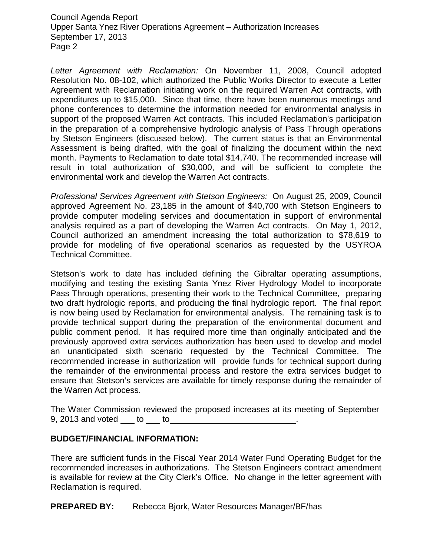Council Agenda Report Upper Santa Ynez River Operations Agreement – Authorization Increases September 17, 2013 Page 2

*Letter Agreement with Reclamation:* On November 11, 2008, Council adopted Resolution No. 08-102, which authorized the Public Works Director to execute a Letter Agreement with Reclamation initiating work on the required Warren Act contracts, with expenditures up to \$15,000. Since that time, there have been numerous meetings and phone conferences to determine the information needed for environmental analysis in support of the proposed Warren Act contracts. This included Reclamation's participation in the preparation of a comprehensive hydrologic analysis of Pass Through operations by Stetson Engineers (discussed below). The current status is that an Environmental Assessment is being drafted, with the goal of finalizing the document within the next month. Payments to Reclamation to date total \$14,740. The recommended increase will result in total authorization of \$30,000, and will be sufficient to complete the environmental work and develop the Warren Act contracts.

*Professional Services Agreement with Stetson Engineers:* On August 25, 2009, Council approved Agreement No. 23,185 in the amount of \$40,700 with Stetson Engineers to provide computer modeling services and documentation in support of environmental analysis required as a part of developing the Warren Act contracts. On May 1, 2012, Council authorized an amendment increasing the total authorization to \$78,619 to provide for modeling of five operational scenarios as requested by the USYROA Technical Committee.

Stetson's work to date has included defining the Gibraltar operating assumptions, modifying and testing the existing Santa Ynez River Hydrology Model to incorporate Pass Through operations, presenting their work to the Technical Committee, preparing two draft hydrologic reports, and producing the final hydrologic report. The final report is now being used by Reclamation for environmental analysis. The remaining task is to provide technical support during the preparation of the environmental document and public comment period. It has required more time than originally anticipated and the previously approved extra services authorization has been used to develop and model an unanticipated sixth scenario requested by the Technical Committee. The recommended increase in authorization will provide funds for technical support during the remainder of the environmental process and restore the extra services budget to ensure that Stetson's services are available for timely response during the remainder of the Warren Act process.

The Water Commission reviewed the proposed increases at its meeting of September  $9, 2013$  and voted  $\_\_$  to  $\_\_$  to  $\_\_$ 

## **BUDGET/FINANCIAL INFORMATION:**

There are sufficient funds in the Fiscal Year 2014 Water Fund Operating Budget for the recommended increases in authorizations. The Stetson Engineers contract amendment is available for review at the City Clerk's Office. No change in the letter agreement with Reclamation is required.

**PREPARED BY:** Rebecca Bjork, Water Resources Manager/BF/has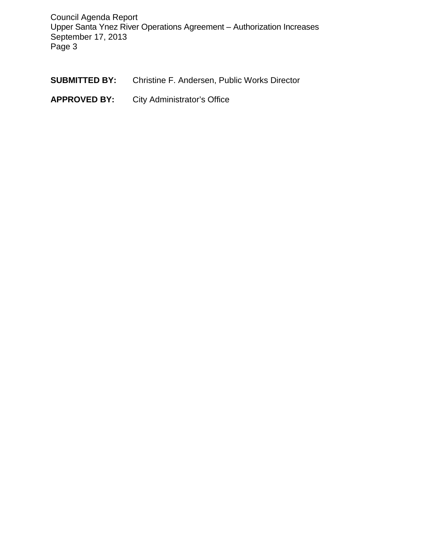Council Agenda Report Upper Santa Ynez River Operations Agreement – Authorization Increases September 17, 2013 Page 3

- **SUBMITTED BY:** Christine F. Andersen, Public Works Director
- **APPROVED BY:** City Administrator's Office